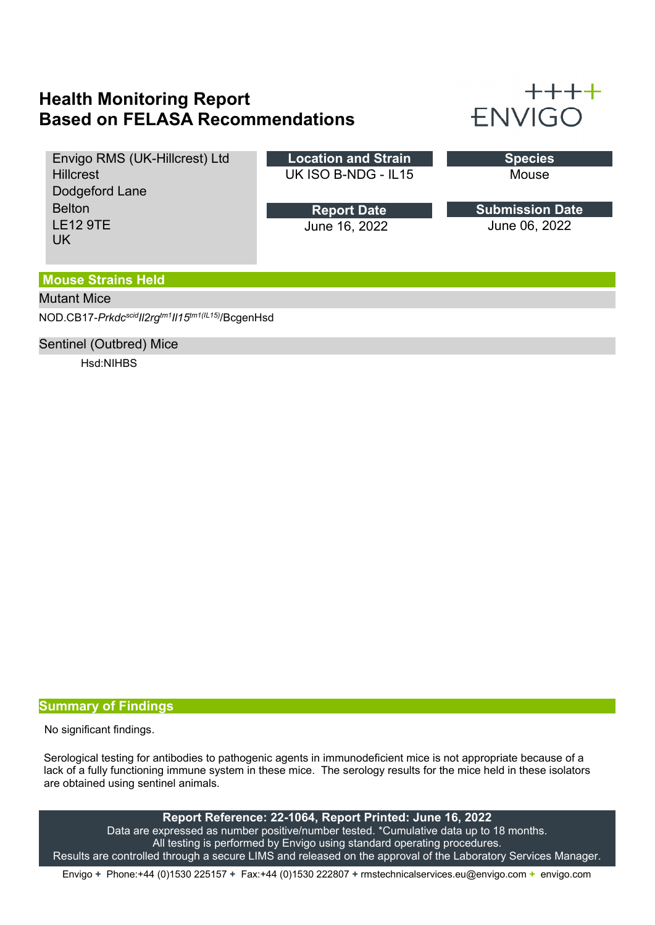# **Health Monitoring Report Based on FELASA Recommendations**



Envigo RMS (UK-Hillcrest) Ltd **Hillcrest** Dodgeford Lane Belton LE12 9TE UK

**Location and Strain** UK ISO B-NDG - IL15

> June 16, 2022 **Report Date**

| Snecies |  |
|---------|--|
| Mouse   |  |

June 06, 2022 **Submission Date**

### **Mouse Strains Held**

### Mutant Mice

NOD.CB17-*PrkdcscidIl2rgtm1Il15tm1(IL15)* /BcgenHsd

#### Sentinel (Outbred) Mice

Hsd:NIHBS

#### **Summary of Findings**

No significant findings.

Serological testing for antibodies to pathogenic agents in immunodeficient mice is not appropriate because of a lack of a fully functioning immune system in these mice. The serology results for the mice held in these isolators are obtained using sentinel animals.

**Report Reference: 22-1064, Report Printed: June 16, 2022** Data are expressed as number positive/number tested. \*Cumulative data up to 18 months. All testing is performed by Envigo using standard operating procedures. Results are controlled through a secure LIMS and released on the approval of the Laboratory Services Manager.

Envigo **+** Phone:+44 (0)1530 225157 **+** Fax:+44 (0)1530 222807 **+** rmstechnicalservices.eu@envigo.com **+** envigo.com